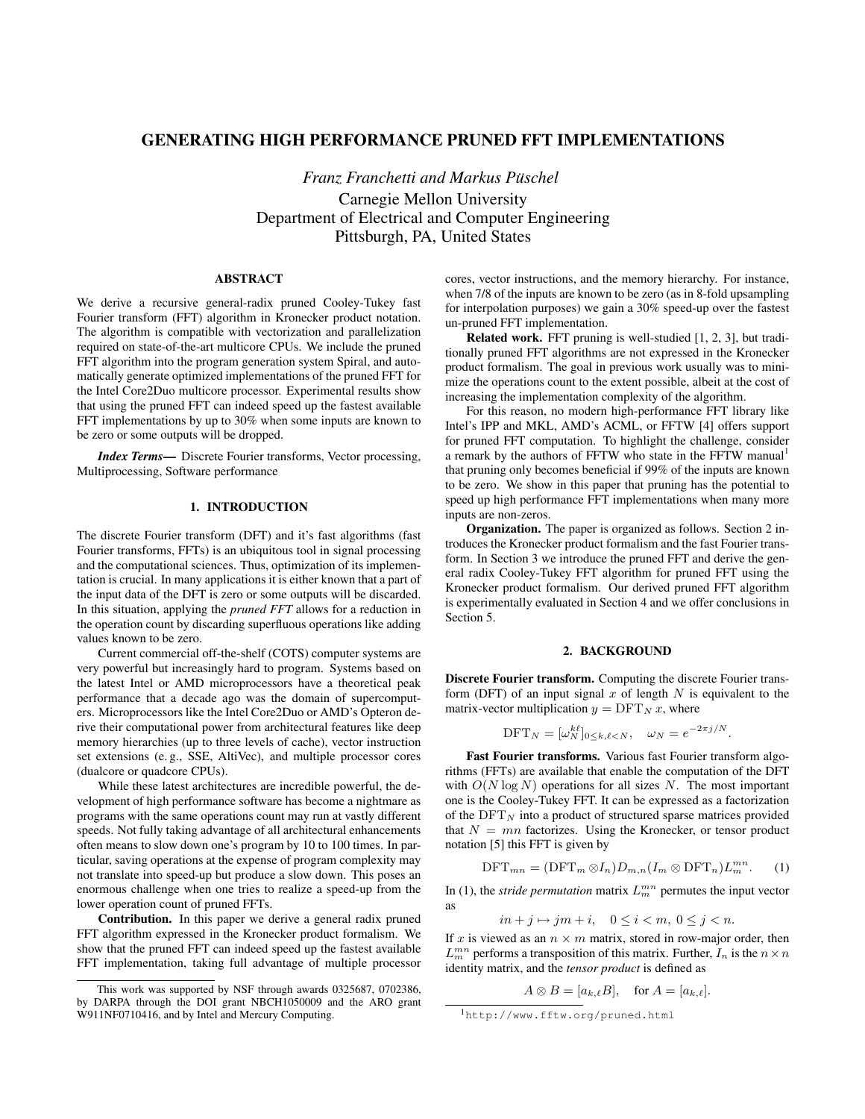# GENERATING HIGH PERFORMANCE PRUNED FFT IMPLEMENTATIONS

*Franz Franchetti and Markus Puschel ¨* Carnegie Mellon University Department of Electrical and Computer Engineering Pittsburgh, PA, United States

### ABSTRACT

We derive a recursive general-radix pruned Cooley-Tukey fast Fourier transform (FFT) algorithm in Kronecker product notation. The algorithm is compatible with vectorization and parallelization required on state-of-the-art multicore CPUs. We include the pruned FFT algorithm into the program generation system Spiral, and automatically generate optimized implementations of the pruned FFT for the Intel Core2Duo multicore processor. Experimental results show that using the pruned FFT can indeed speed up the fastest available FFT implementations by up to 30% when some inputs are known to be zero or some outputs will be dropped.

*Index Terms*— Discrete Fourier transforms, Vector processing, Multiprocessing, Software performance

# 1. INTRODUCTION

The discrete Fourier transform (DFT) and it's fast algorithms (fast Fourier transforms, FFTs) is an ubiquitous tool in signal processing and the computational sciences. Thus, optimization of its implementation is crucial. In many applications it is either known that a part of the input data of the DFT is zero or some outputs will be discarded. In this situation, applying the *pruned FFT* allows for a reduction in the operation count by discarding superfluous operations like adding values known to be zero.

Current commercial off-the-shelf (COTS) computer systems are very powerful but increasingly hard to program. Systems based on the latest Intel or AMD microprocessors have a theoretical peak performance that a decade ago was the domain of supercomputers. Microprocessors like the Intel Core2Duo or AMD's Opteron derive their computational power from architectural features like deep memory hierarchies (up to three levels of cache), vector instruction set extensions (e. g., SSE, AltiVec), and multiple processor cores (dualcore or quadcore CPUs).

While these latest architectures are incredible powerful, the development of high performance software has become a nightmare as programs with the same operations count may run at vastly different speeds. Not fully taking advantage of all architectural enhancements often means to slow down one's program by 10 to 100 times. In particular, saving operations at the expense of program complexity may not translate into speed-up but produce a slow down. This poses an enormous challenge when one tries to realize a speed-up from the lower operation count of pruned FFTs.

Contribution. In this paper we derive a general radix pruned FFT algorithm expressed in the Kronecker product formalism. We show that the pruned FFT can indeed speed up the fastest available FFT implementation, taking full advantage of multiple processor cores, vector instructions, and the memory hierarchy. For instance, when 7/8 of the inputs are known to be zero (as in 8-fold upsampling for interpolation purposes) we gain a 30% speed-up over the fastest un-pruned FFT implementation.

Related work. FFT pruning is well-studied [1, 2, 3], but traditionally pruned FFT algorithms are not expressed in the Kronecker product formalism. The goal in previous work usually was to minimize the operations count to the extent possible, albeit at the cost of increasing the implementation complexity of the algorithm.

For this reason, no modern high-performance FFT library like Intel's IPP and MKL, AMD's ACML, or FFTW [4] offers support for pruned FFT computation. To highlight the challenge, consider a remark by the authors of FFTW who state in the FFTW manual<sup>1</sup> that pruning only becomes beneficial if 99% of the inputs are known to be zero. We show in this paper that pruning has the potential to speed up high performance FFT implementations when many more inputs are non-zeros.

Organization. The paper is organized as follows. Section 2 introduces the Kronecker product formalism and the fast Fourier transform. In Section 3 we introduce the pruned FFT and derive the general radix Cooley-Tukey FFT algorithm for pruned FFT using the Kronecker product formalism. Our derived pruned FFT algorithm is experimentally evaluated in Section 4 and we offer conclusions in Section 5.

# 2. BACKGROUND

Discrete Fourier transform. Computing the discrete Fourier transform (DFT) of an input signal x of length  $N$  is equivalent to the matrix-vector multiplication  $y = DFT_N x$ , where

$$
\text{DFT}_N = [\omega_N^{k\ell}]_{0 \le k,\ell < N}, \quad \omega_N = e^{-2\pi j/N}.
$$

Fast Fourier transforms. Various fast Fourier transform algorithms (FFTs) are available that enable the computation of the DFT with  $O(N \log N)$  operations for all sizes N. The most important one is the Cooley-Tukey FFT. It can be expressed as a factorization of the  $DFT_N$  into a product of structured sparse matrices provided that  $N = mn$  factorizes. Using the Kronecker, or tensor product notation [5] this FFT is given by

$$
\text{DFT}_{mn} = (\text{DFT}_m \otimes I_n) D_{m,n} (I_m \otimes \text{DFT}_n) L_m^{mn}.
$$
 (1)

In (1), the *stride permutation* matrix  $L_m^{mn}$  permutes the input vector as

$$
in+j \mapsto jm+i, \quad 0 \le i < m, \ 0 \le j < n.
$$

If x is viewed as an  $n \times m$  matrix, stored in row-major order, then  $L_m^{mn}$  performs a transposition of this matrix. Further,  $I_n$  is the  $n \times n$ identity matrix, and the *tensor product* is defined as

$$
A \otimes B = [a_{k,\ell}B], \quad \text{for } A = [a_{k,\ell}].
$$

This work was supported by NSF through awards 0325687, 0702386, by DARPA through the DOI grant NBCH1050009 and the ARO grant W911NF0710416, and by Intel and Mercury Computing.

<sup>1</sup>http://www.fftw.org/pruned.html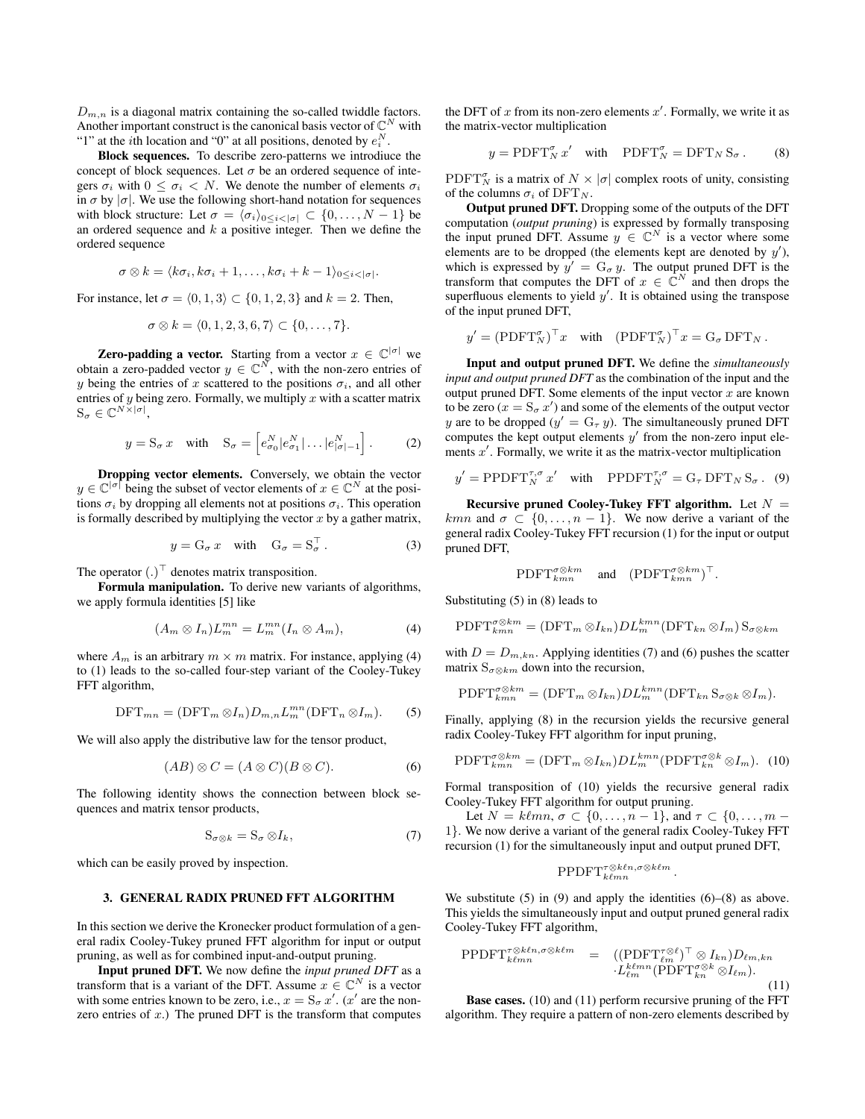$D_{m,n}$  is a diagonal matrix containing the so-called twiddle factors. Another important construct is the canonical basis vector of  $\mathbb{C}^N$  with "1" at the *i*th location and "0" at all positions, denoted by  $e_i^N$ .

Block sequences. To describe zero-patterns we introdiuce the concept of block sequences. Let  $\sigma$  be an ordered sequence of integers  $\sigma_i$  with  $0 \leq \sigma_i < N$ . We denote the number of elements  $\sigma_i$ in  $\sigma$  by  $|\sigma|$ . We use the following short-hand notation for sequences with block structure: Let  $\sigma = \langle \sigma_i \rangle_{0 \leq i \leq |\sigma|} \subset \{0, \ldots, N - 1\}$  be an ordered sequence and  $k$  a positive integer. Then we define the ordered sequence

$$
\sigma \otimes k = \langle k \sigma_i, k \sigma_i + 1, \ldots, k \sigma_i + k - 1 \rangle_{0 \leq i \leq |\sigma|}.
$$

For instance, let  $\sigma = \langle 0, 1, 3 \rangle \subset \{0, 1, 2, 3\}$  and  $k = 2$ . Then,

$$
\sigma \otimes k = \langle 0, 1, 2, 3, 6, 7 \rangle \subset \{0, \ldots, 7\}.
$$

**Zero-padding a vector.** Starting from a vector  $x \in \mathbb{C}^{|\sigma|}$  we obtain a zero-padded vector  $y \in \mathbb{C}^N$ , with the non-zero entries of y being the entries of x scattered to the positions  $\sigma_i$ , and all other entries of y being zero. Formally, we multiply x with a scatter matrix  $\mathbf{S}_{\sigma} \in \mathbb{C}^{N \times |\sigma|},$ 

$$
y = \mathbf{S}_{\sigma} x \quad \text{with} \quad \mathbf{S}_{\sigma} = \left[ e_{\sigma_0}^N | e_{\sigma_1}^N | \dots | e_{|\sigma|-1}^N \right]. \tag{2}
$$

Dropping vector elements. Conversely, we obtain the vector  $y \in \mathbb{C}^{|\sigma|}$  being the subset of vector elements of  $x \in \mathbb{C}^N$  at the positions  $\sigma_i$  by dropping all elements not at positions  $\sigma_i$ . This operation is formally described by multiplying the vector  $x$  by a gather matrix,

$$
y = G_{\sigma} x \quad \text{with} \quad G_{\sigma} = S_{\sigma}^{\top} . \tag{3}
$$

The operator  $(.)^{\top}$  denotes matrix transposition.

Formula manipulation. To derive new variants of algorithms, we apply formula identities [5] like

$$
(A_m \otimes I_n)L_m^{mn} = L_m^{mn}(I_n \otimes A_m), \qquad (4)
$$

where  $A_m$  is an arbitrary  $m \times m$  matrix. For instance, applying (4) to (1) leads to the so-called four-step variant of the Cooley-Tukey FFT algorithm,

$$
\text{DFT}_{mn} = (\text{DFT}_m \otimes I_n) D_{m,n} L_m^{mn} (\text{DFT}_n \otimes I_m). \tag{5}
$$

We will also apply the distributive law for the tensor product,

$$
(AB) \otimes C = (A \otimes C)(B \otimes C). \tag{6}
$$

The following identity shows the connection between block sequences and matrix tensor products,

$$
S_{\sigma \otimes k} = S_{\sigma} \otimes I_k, \tag{7}
$$

which can be easily proved by inspection.

#### 3. GENERAL RADIX PRUNED FFT ALGORITHM

In this section we derive the Kronecker product formulation of a general radix Cooley-Tukey pruned FFT algorithm for input or output pruning, as well as for combined input-and-output pruning.

Input pruned DFT. We now define the *input pruned DFT* as a transform that is a variant of the DFT. Assume  $x \in \mathbb{C}^N$  is a vector with some entries known to be zero, i.e.,  $x = S_{\sigma} x'$ . (x' are the nonzero entries of  $x$ .) The pruned DFT is the transform that computes

the DFT of x from its non-zero elements  $x'$ . Formally, we write it as the matrix-vector multiplication

$$
y = \text{PDFT}_{N}^{\sigma} x' \quad \text{with} \quad \text{PDFT}_{N}^{\sigma} = \text{DFT}_{N} \, \text{S}_{\sigma} \,. \tag{8}
$$

PDFT<sup> $\sigma_N$ </sup> is a matrix of  $N \times |\sigma|$  complex roots of unity, consisting of the columns  $\sigma_i$  of DFT<sub>N</sub>.

Output pruned DFT. Dropping some of the outputs of the DFT computation (*output pruning*) is expressed by formally transposing the input pruned DFT. Assume  $y \in \mathbb{C}^N$  is a vector where some elements are to be dropped (the elements kept are denoted by  $y'$ ), which is expressed by  $y' = G_{\sigma} y$ . The output pruned DFT is the transform that computes the DFT of  $x \in \mathbb{C}^N$  and then drops the superfluous elements to yield  $y'$ . It is obtained using the transpose of the input pruned DFT,

$$
y' = (\text{PDFT}_{N}^{\sigma})^{\top} x
$$
 with  $(\text{PDFT}_{N}^{\sigma})^{\top} x = G_{\sigma} \text{ DFT}_{N}$ .

Input and output pruned DFT. We define the *simultaneously input and output pruned DFT* as the combination of the input and the output pruned DFT. Some elements of the input vector  $x$  are known to be zero ( $x = S_{\sigma} x'$ ) and some of the elements of the output vector y are to be dropped ( $y' = G_\tau y$ ). The simultaneously pruned DFT computes the kept output elements  $y'$  from the non-zero input elements  $x'$ . Formally, we write it as the matrix-vector multiplication

$$
y' = \text{PPDFT}_{N}^{\tau,\sigma} x' \quad \text{with} \quad \text{PPDFT}_{N}^{\tau,\sigma} = \mathcal{G}_{\tau} \,\text{DFT}_{N} \,\mathcal{S}_{\sigma} \,. \tag{9}
$$

Recursive pruned Cooley-Tukey FFT algorithm. Let  $N =$ kmn and  $\sigma \subset \{0, \ldots, n-1\}$ . We now derive a variant of the general radix Cooley-Tukey FFT recursion (1) for the input or output pruned DFT,

$$
\mathrm{PDFT}_{kmn}^{\sigma \otimes km} \quad \text{ and } \quad (\mathrm{PDFT}_{kmn}^{\sigma \otimes km})^{\top}.
$$

Substituting (5) in (8) leads to

$$
\text{PDFT}_{kmn}^{\sigma \otimes km} = (\text{DFT}_m \otimes I_{kn}) D L_m^{kmn} (\text{DFT}_{kn} \otimes I_m) S_{\sigma \otimes km}
$$

with  $D = D_{m,kn}$ . Applying identities (7) and (6) pushes the scatter matrix  $S_{\sigma \otimes km}$  down into the recursion,

$$
\operatorname{PDFT}_{kmn}^{\sigma \otimes km} = (\operatorname{DFT}_m \otimes I_{kn}) D L_m^{kmn} (\operatorname{DFT}_{kn} \mathcal{S}_{\sigma \otimes k} \otimes I_m).
$$

Finally, applying (8) in the recursion yields the recursive general radix Cooley-Tukey FFT algorithm for input pruning,

$$
\text{PDFT}_{kmn}^{\sigma \otimes km} = (\text{DFT}_m \otimes I_{kn}) D L_m^{kmn} (\text{PDFT}_{kn}^{\sigma \otimes k} \otimes I_m). \tag{10}
$$

Formal transposition of (10) yields the recursive general radix Cooley-Tukey FFT algorithm for output pruning.

Let  $N = k\ell mn$ ,  $\sigma \subset \{0, \ldots, n-1\}$ , and  $\tau \subset \{0, \ldots, m-1\}$ 1}. We now derive a variant of the general radix Cooley-Tukey FFT recursion (1) for the simultaneously input and output pruned DFT,

$$
\operatorname{PPDFT}_{k\ell mn}^{\tau \otimes k\ell n, \sigma \otimes k\ell m}.
$$

We substitute  $(5)$  in  $(9)$  and apply the identities  $(6)$ – $(8)$  as above. This yields the simultaneously input and output pruned general radix Cooley-Tukey FFT algorithm,

$$
\text{PPDFT}_{k\ell mn}^{\tau \otimes k\ell n, \sigma \otimes k\ell m} = ((\text{PDFT}_{\ell m}^{\tau \otimes \ell})^{\top} \otimes I_{kn}) D_{\ell m, kn} \cdot L_{\ell m}^{k\ell mn} (\text{PDFT}_{kn}^{\sigma \otimes k} \otimes I_{\ell m}).
$$
\n(11)

Base cases. (10) and (11) perform recursive pruning of the FFT algorithm. They require a pattern of non-zero elements described by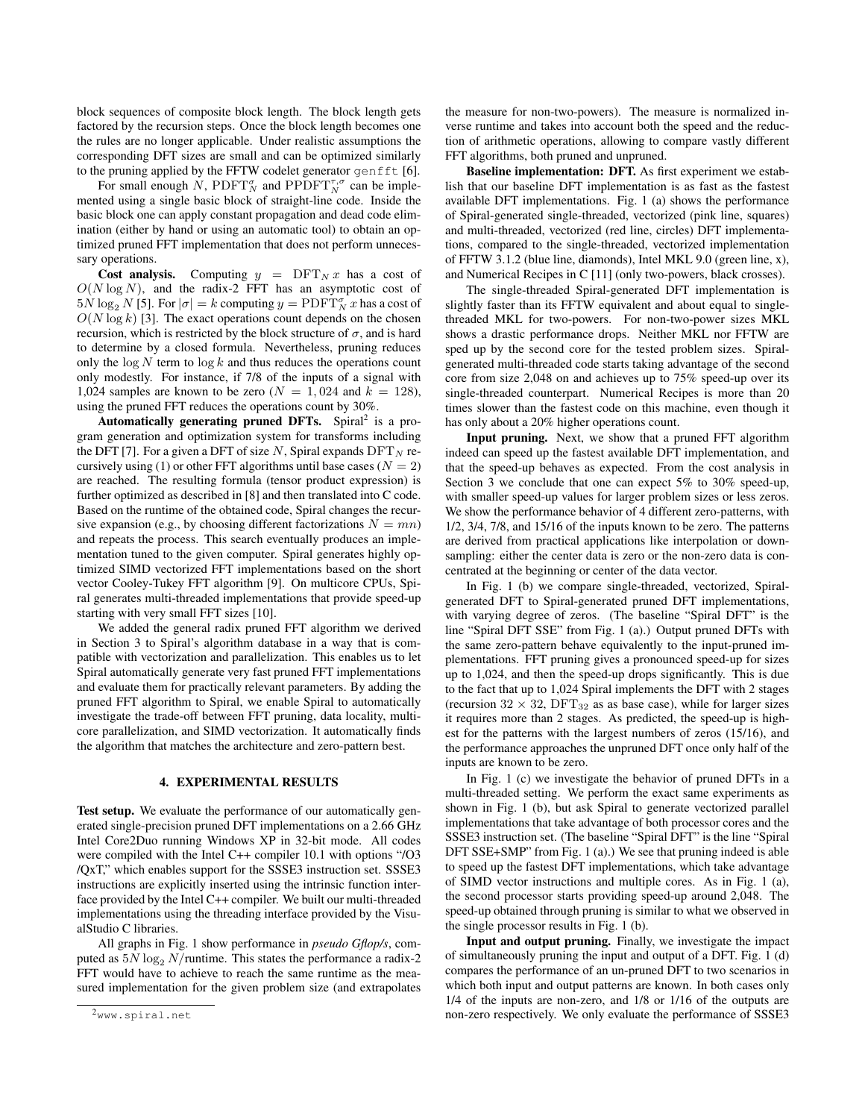block sequences of composite block length. The block length gets factored by the recursion steps. Once the block length becomes one the rules are no longer applicable. Under realistic assumptions the corresponding DFT sizes are small and can be optimized similarly to the pruning applied by the FFTW codelet generator genfft [6].

For small enough N,  $\text{PDFT}_{N}^{\sigma}$  and  $\text{PPDFT}_{N}^{\tau,\sigma}$  can be implemented using a single basic block of straight-line code. Inside the basic block one can apply constant propagation and dead code elimination (either by hand or using an automatic tool) to obtain an optimized pruned FFT implementation that does not perform unnecessary operations.

Cost analysis. Computing  $y = DFT_N x$  has a cost of  $O(N \log N)$ , and the radix-2 FFT has an asymptotic cost of  $5N \log_2 N$  [5]. For  $|\sigma| = k$  computing  $y = \text{PDFT}_{N}^{\sigma} x$  has a cost of  $O(N \log k)$  [3]. The exact operations count depends on the chosen recursion, which is restricted by the block structure of  $\sigma$ , and is hard to determine by a closed formula. Nevertheless, pruning reduces only the  $\log N$  term to  $\log k$  and thus reduces the operations count only modestly. For instance, if 7/8 of the inputs of a signal with 1,024 samples are known to be zero ( $N = 1,024$  and  $k = 128$ ), using the pruned FFT reduces the operations count by 30%.

Automatically generating pruned DFTs. Spiral<sup>2</sup> is a program generation and optimization system for transforms including the DFT [7]. For a given a DFT of size N, Spiral expands  $\text{DFT}_N$  recursively using (1) or other FFT algorithms until base cases ( $N = 2$ ) are reached. The resulting formula (tensor product expression) is further optimized as described in [8] and then translated into C code. Based on the runtime of the obtained code, Spiral changes the recursive expansion (e.g., by choosing different factorizations  $N = mn$ ) and repeats the process. This search eventually produces an implementation tuned to the given computer. Spiral generates highly optimized SIMD vectorized FFT implementations based on the short vector Cooley-Tukey FFT algorithm [9]. On multicore CPUs, Spiral generates multi-threaded implementations that provide speed-up starting with very small FFT sizes [10].

We added the general radix pruned FFT algorithm we derived in Section 3 to Spiral's algorithm database in a way that is compatible with vectorization and parallelization. This enables us to let Spiral automatically generate very fast pruned FFT implementations and evaluate them for practically relevant parameters. By adding the pruned FFT algorithm to Spiral, we enable Spiral to automatically investigate the trade-off between FFT pruning, data locality, multicore parallelization, and SIMD vectorization. It automatically finds the algorithm that matches the architecture and zero-pattern best.

#### 4. EXPERIMENTAL RESULTS

Test setup. We evaluate the performance of our automatically generated single-precision pruned DFT implementations on a 2.66 GHz Intel Core2Duo running Windows XP in 32-bit mode. All codes were compiled with the Intel C++ compiler 10.1 with options "/O3 /QxT," which enables support for the SSSE3 instruction set. SSSE3 instructions are explicitly inserted using the intrinsic function interface provided by the Intel C++ compiler. We built our multi-threaded implementations using the threading interface provided by the VisualStudio C libraries.

All graphs in Fig. 1 show performance in *pseudo Gflop/s*, computed as  $5N \log_2 N$ /runtime. This states the performance a radix-2 FFT would have to achieve to reach the same runtime as the measured implementation for the given problem size (and extrapolates the measure for non-two-powers). The measure is normalized inverse runtime and takes into account both the speed and the reduction of arithmetic operations, allowing to compare vastly different FFT algorithms, both pruned and unpruned.

Baseline implementation: DFT. As first experiment we establish that our baseline DFT implementation is as fast as the fastest available DFT implementations. Fig. 1 (a) shows the performance of Spiral-generated single-threaded, vectorized (pink line, squares) and multi-threaded, vectorized (red line, circles) DFT implementations, compared to the single-threaded, vectorized implementation of FFTW 3.1.2 (blue line, diamonds), Intel MKL 9.0 (green line, x), and Numerical Recipes in C [11] (only two-powers, black crosses).

The single-threaded Spiral-generated DFT implementation is slightly faster than its FFTW equivalent and about equal to singlethreaded MKL for two-powers. For non-two-power sizes MKL shows a drastic performance drops. Neither MKL nor FFTW are sped up by the second core for the tested problem sizes. Spiralgenerated multi-threaded code starts taking advantage of the second core from size 2,048 on and achieves up to 75% speed-up over its single-threaded counterpart. Numerical Recipes is more than 20 times slower than the fastest code on this machine, even though it has only about a 20% higher operations count.

Input pruning. Next, we show that a pruned FFT algorithm indeed can speed up the fastest available DFT implementation, and that the speed-up behaves as expected. From the cost analysis in Section 3 we conclude that one can expect 5% to 30% speed-up, with smaller speed-up values for larger problem sizes or less zeros. We show the performance behavior of 4 different zero-patterns, with 1/2, 3/4, 7/8, and 15/16 of the inputs known to be zero. The patterns are derived from practical applications like interpolation or downsampling: either the center data is zero or the non-zero data is concentrated at the beginning or center of the data vector.

In Fig. 1 (b) we compare single-threaded, vectorized, Spiralgenerated DFT to Spiral-generated pruned DFT implementations, with varying degree of zeros. (The baseline "Spiral DFT" is the line "Spiral DFT SSE" from Fig. 1 (a).) Output pruned DFTs with the same zero-pattern behave equivalently to the input-pruned implementations. FFT pruning gives a pronounced speed-up for sizes up to 1,024, and then the speed-up drops significantly. This is due to the fact that up to 1,024 Spiral implements the DFT with 2 stages (recursion  $32 \times 32$ , DFT<sub>32</sub> as as base case), while for larger sizes it requires more than 2 stages. As predicted, the speed-up is highest for the patterns with the largest numbers of zeros (15/16), and the performance approaches the unpruned DFT once only half of the inputs are known to be zero.

In Fig. 1 (c) we investigate the behavior of pruned DFTs in a multi-threaded setting. We perform the exact same experiments as shown in Fig. 1 (b), but ask Spiral to generate vectorized parallel implementations that take advantage of both processor cores and the SSSE3 instruction set. (The baseline "Spiral DFT" is the line "Spiral DFT SSE+SMP" from Fig. 1 (a).) We see that pruning indeed is able to speed up the fastest DFT implementations, which take advantage of SIMD vector instructions and multiple cores. As in Fig. 1 (a), the second processor starts providing speed-up around 2,048. The speed-up obtained through pruning is similar to what we observed in the single processor results in Fig. 1 (b).

Input and output pruning. Finally, we investigate the impact of simultaneously pruning the input and output of a DFT. Fig. 1 (d) compares the performance of an un-pruned DFT to two scenarios in which both input and output patterns are known. In both cases only 1/4 of the inputs are non-zero, and 1/8 or 1/16 of the outputs are non-zero respectively. We only evaluate the performance of SSSE3

<sup>2</sup>www.spiral.net